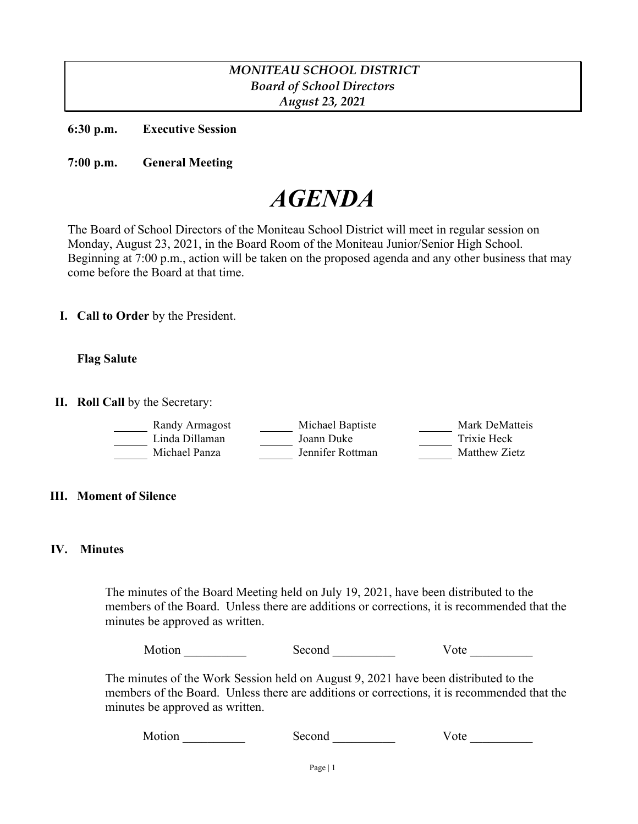# *MONITEAU SCHOOL DISTRICT Board of School Directors August 23, 2021*

**6:30 p.m. Executive Session**

**7:00 p.m. General Meeting**

# *AGENDA*

The Board of School Directors of the Moniteau School District will meet in regular session on Monday, August 23, 2021, in the Board Room of the Moniteau Junior/Senior High School. Beginning at 7:00 p.m., action will be taken on the proposed agenda and any other business that may come before the Board at that time.

**I. Call to Order** by the President.

# **Flag Salute**

**II. Roll Call** by the Secretary:

| Randy Armagost | Michael Baptiste | Mark DeMatteis |
|----------------|------------------|----------------|
| Linda Dillaman | Joann Duke       | Trixie Heck    |
| Michael Panza  | Jennifer Rottman | Matthew Zietz  |

# **III. Moment of Silence**

# **IV. Minutes**

The minutes of the Board Meeting held on July 19, 2021, have been distributed to the members of the Board. Unless there are additions or corrections, it is recommended that the minutes be approved as written.

Motion **Second** Second Vote

The minutes of the Work Session held on August 9, 2021 have been distributed to the members of the Board. Unless there are additions or corrections, it is recommended that the minutes be approved as written.

Motion Second Vote Learning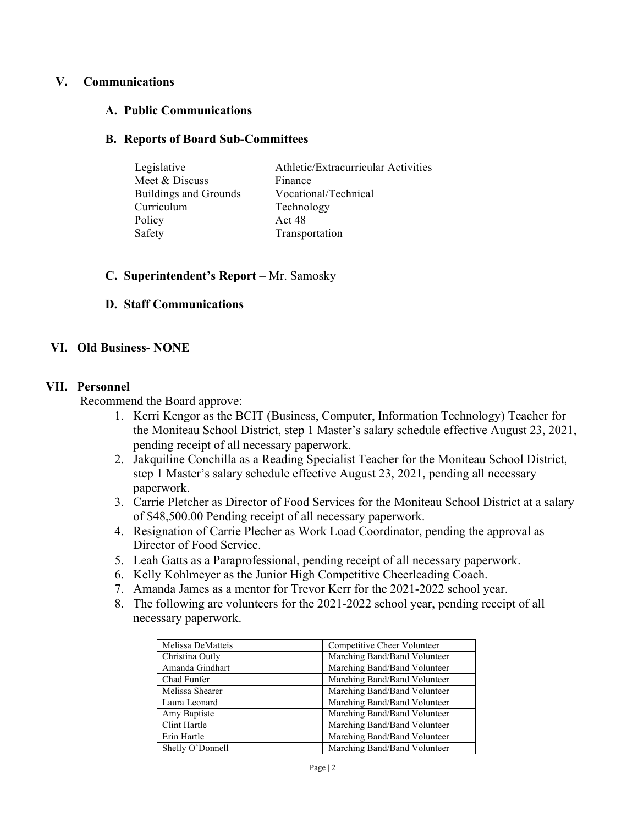# **V. Communications**

#### **A. Public Communications**

#### **B. Reports of Board Sub-Committees**

| Legislative                  | Athletic/Extracurricular Activities |
|------------------------------|-------------------------------------|
| Meet & Discuss               | Finance                             |
| <b>Buildings and Grounds</b> | Vocational/Technical                |
| Curriculum                   | Technology                          |
| Policy                       | Act 48                              |
| Safety                       | Transportation                      |

#### **C. Superintendent's Report** – Mr. Samosky

#### **D. Staff Communications**

# **VI. Old Business- NONE**

#### **VII. Personnel**

Recommend the Board approve:

- 1. Kerri Kengor as the BCIT (Business, Computer, Information Technology) Teacher for the Moniteau School District, step 1 Master's salary schedule effective August 23, 2021, pending receipt of all necessary paperwork.
- 2. Jakquiline Conchilla as a Reading Specialist Teacher for the Moniteau School District, step 1 Master's salary schedule effective August 23, 2021, pending all necessary paperwork.
- 3. Carrie Pletcher as Director of Food Services for the Moniteau School District at a salary of \$48,500.00 Pending receipt of all necessary paperwork.
- 4. Resignation of Carrie Plecher as Work Load Coordinator, pending the approval as Director of Food Service.
- 5. Leah Gatts as a Paraprofessional, pending receipt of all necessary paperwork.
- 6. Kelly Kohlmeyer as the Junior High Competitive Cheerleading Coach.
- 7. Amanda James as a mentor for Trevor Kerr for the 2021-2022 school year.
- 8. The following are volunteers for the 2021-2022 school year, pending receipt of all necessary paperwork.

| Melissa DeMatteis | Competitive Cheer Volunteer  |
|-------------------|------------------------------|
| Christina Outly   | Marching Band/Band Volunteer |
| Amanda Gindhart   | Marching Band/Band Volunteer |
| Chad Funfer       | Marching Band/Band Volunteer |
| Melissa Shearer   | Marching Band/Band Volunteer |
| Laura Leonard     | Marching Band/Band Volunteer |
| Amy Baptiste      | Marching Band/Band Volunteer |
| Clint Hartle      | Marching Band/Band Volunteer |
| Erin Hartle       | Marching Band/Band Volunteer |
| Shelly O'Donnell  | Marching Band/Band Volunteer |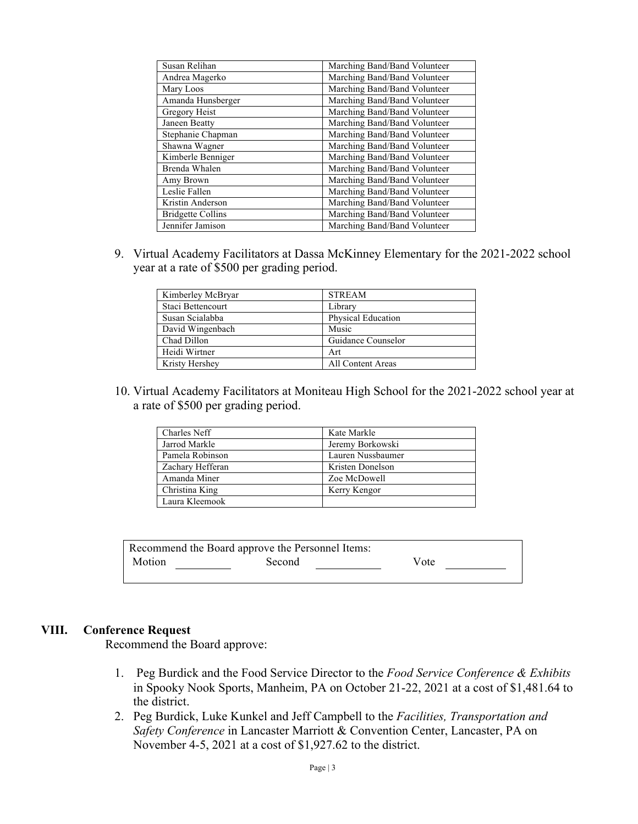| Susan Relihan            | Marching Band/Band Volunteer |
|--------------------------|------------------------------|
| Andrea Magerko           | Marching Band/Band Volunteer |
| Mary Loos                | Marching Band/Band Volunteer |
| Amanda Hunsberger        | Marching Band/Band Volunteer |
| Gregory Heist            | Marching Band/Band Volunteer |
| Janeen Beatty            | Marching Band/Band Volunteer |
| Stephanie Chapman        | Marching Band/Band Volunteer |
| Shawna Wagner            | Marching Band/Band Volunteer |
| Kimberle Benniger        | Marching Band/Band Volunteer |
| Brenda Whalen            | Marching Band/Band Volunteer |
| Amy Brown                | Marching Band/Band Volunteer |
| Leslie Fallen            | Marching Band/Band Volunteer |
| Kristin Anderson         | Marching Band/Band Volunteer |
| <b>Bridgette Collins</b> | Marching Band/Band Volunteer |
| Jennifer Jamison         | Marching Band/Band Volunteer |

9. Virtual Academy Facilitators at Dassa McKinney Elementary for the 2021-2022 school year at a rate of \$500 per grading period.

| Kimberley McBryar | <b>STREAM</b>             |
|-------------------|---------------------------|
| Staci Bettencourt | Library                   |
| Susan Scialabba   | <b>Physical Education</b> |
| David Wingenbach  | Music                     |
| Chad Dillon       | Guidance Counselor        |
| Heidi Wirtner     | Art                       |
| Kristy Hershey    | All Content Areas         |

10. Virtual Academy Facilitators at Moniteau High School for the 2021-2022 school year at a rate of \$500 per grading period.

| Charles Neff     | Kate Markle       |
|------------------|-------------------|
| Jarrod Markle    | Jeremy Borkowski  |
| Pamela Robinson  | Lauren Nussbaumer |
| Zachary Hefferan | Kristen Donelson  |
| Amanda Miner     | Zoe McDowell      |
| Christina King   | Kerry Kengor      |
| Laura Kleemook   |                   |

|        | Recommend the Board approve the Personnel Items: |      |
|--------|--------------------------------------------------|------|
| Motion | Second                                           | Vote |

#### **VIII. Conference Request**

Recommend the Board approve:

- 1. Peg Burdick and the Food Service Director to the *Food Service Conference & Exhibits* in Spooky Nook Sports, Manheim, PA on October 21-22, 2021 at a cost of \$1,481.64 to the district.
- 2. Peg Burdick, Luke Kunkel and Jeff Campbell to the *Facilities, Transportation and Safety Conference* in Lancaster Marriott & Convention Center, Lancaster, PA on November 4-5, 2021 at a cost of \$1,927.62 to the district.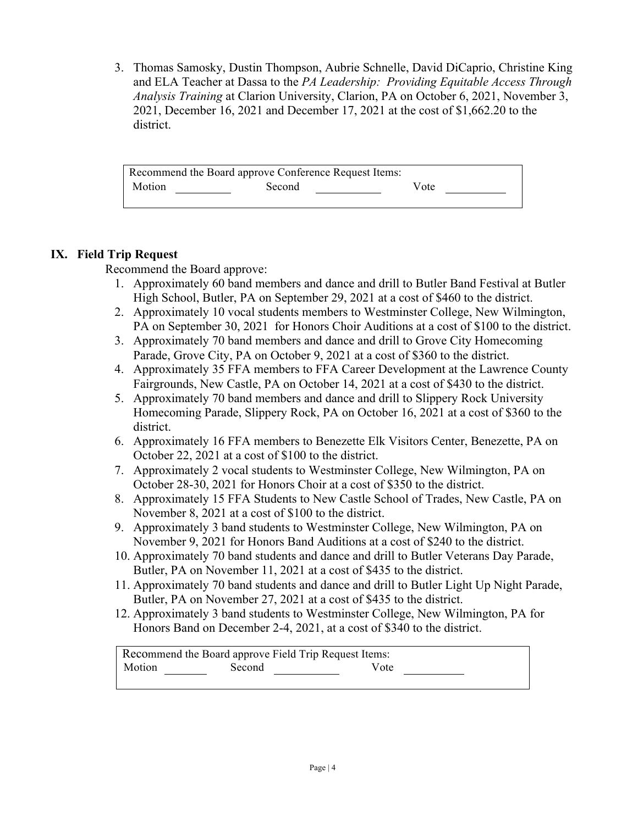3. Thomas Samosky, Dustin Thompson, Aubrie Schnelle, David DiCaprio, Christine King and ELA Teacher at Dassa to the *PA Leadership: Providing Equitable Access Through Analysis Training* at Clarion University, Clarion, PA on October 6, 2021, November 3, 2021, December 16, 2021 and December 17, 2021 at the cost of \$1,662.20 to the district.

| Recommend the Board approve Conference Request Items: |        |      |  |
|-------------------------------------------------------|--------|------|--|
| Motion                                                | Second | Vote |  |

# **IX. Field Trip Request**

Recommend the Board approve:

- 1. Approximately 60 band members and dance and drill to Butler Band Festival at Butler High School, Butler, PA on September 29, 2021 at a cost of \$460 to the district.
- 2. Approximately 10 vocal students members to Westminster College, New Wilmington, PA on September 30, 2021 for Honors Choir Auditions at a cost of \$100 to the district.
- 3. Approximately 70 band members and dance and drill to Grove City Homecoming Parade, Grove City, PA on October 9, 2021 at a cost of \$360 to the district.
- 4. Approximately 35 FFA members to FFA Career Development at the Lawrence County Fairgrounds, New Castle, PA on October 14, 2021 at a cost of \$430 to the district.
- 5. Approximately 70 band members and dance and drill to Slippery Rock University Homecoming Parade, Slippery Rock, PA on October 16, 2021 at a cost of \$360 to the district.
- 6. Approximately 16 FFA members to Benezette Elk Visitors Center, Benezette, PA on October 22, 2021 at a cost of \$100 to the district.
- 7. Approximately 2 vocal students to Westminster College, New Wilmington, PA on October 28-30, 2021 for Honors Choir at a cost of \$350 to the district.
- 8. Approximately 15 FFA Students to New Castle School of Trades, New Castle, PA on November 8, 2021 at a cost of \$100 to the district.
- 9. Approximately 3 band students to Westminster College, New Wilmington, PA on November 9, 2021 for Honors Band Auditions at a cost of \$240 to the district.
- 10. Approximately 70 band students and dance and drill to Butler Veterans Day Parade, Butler, PA on November 11, 2021 at a cost of \$435 to the district.
- 11. Approximately 70 band students and dance and drill to Butler Light Up Night Parade, Butler, PA on November 27, 2021 at a cost of \$435 to the district.
- 12. Approximately 3 band students to Westminster College, New Wilmington, PA for Honors Band on December 2-4, 2021, at a cost of \$340 to the district.

| Recommend the Board approve Field Trip Request Items: |        |      |
|-------------------------------------------------------|--------|------|
| Motion                                                | Second | Vote |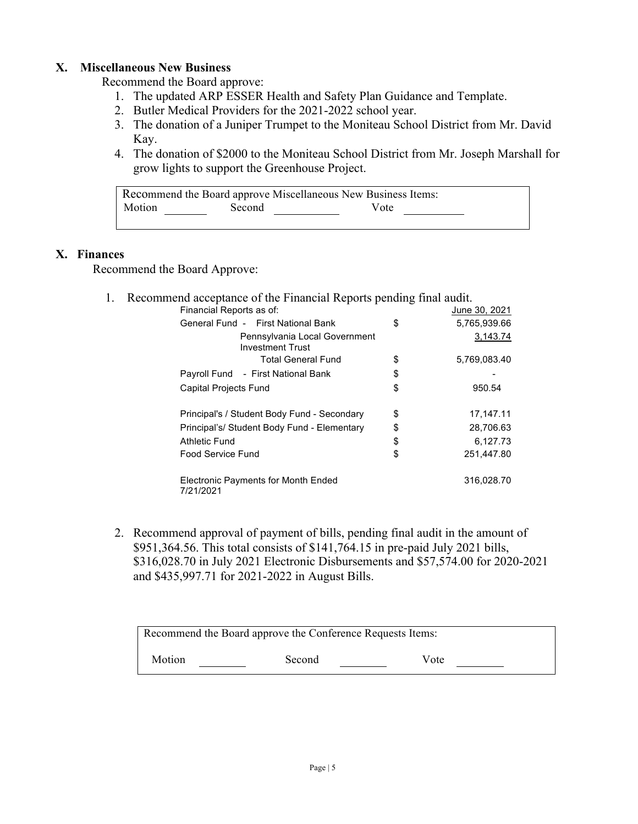# **X. Miscellaneous New Business**

Recommend the Board approve:

- 1. The updated ARP ESSER Health and Safety Plan Guidance and Template.
- 2. Butler Medical Providers for the 2021-2022 school year.
- 3. The donation of a Juniper Trumpet to the Moniteau School District from Mr. David Kay.
- 4. The donation of \$2000 to the Moniteau School District from Mr. Joseph Marshall for grow lights to support the Greenhouse Project.

|        |        | Recommend the Board approve Miscellaneous New Business Items: |  |
|--------|--------|---------------------------------------------------------------|--|
| Motion | Second | Vote                                                          |  |

# **X. Finances**

Recommend the Board Approve:

1. Recommend acceptance of the Financial Reports pending final audit.

| Financial Reports as of:                                 | June 30, 2021      |
|----------------------------------------------------------|--------------------|
| General Fund - First National Bank                       | \$<br>5,765,939.66 |
| Pennsylvania Local Government<br><b>Investment Trust</b> | 3,143.74           |
| <b>Total General Fund</b>                                | \$<br>5,769,083.40 |
| Payroll Fund - First National Bank                       | \$                 |
| <b>Capital Projects Fund</b>                             | \$<br>950.54       |
| Principal's / Student Body Fund - Secondary              | \$<br>17, 147. 11  |
| Principal's/ Student Body Fund - Elementary              | \$<br>28,706.63    |
| Athletic Fund                                            | \$<br>6.127.73     |
| Food Service Fund                                        | \$<br>251,447.80   |
| <b>Electronic Payments for Month Ended</b><br>7/21/2021  | 316,028.70         |

2. Recommend approval of payment of bills, pending final audit in the amount of \$951,364.56. This total consists of \$141,764.15 in pre-paid July 2021 bills, \$316,028.70 in July 2021 Electronic Disbursements and \$57,574.00 for 2020-2021 and \$435,997.71 for 2021-2022 in August Bills.

| Recommend the Board approve the Conference Requests Items: |        |      |  |
|------------------------------------------------------------|--------|------|--|
| Motion                                                     | Second | Vote |  |